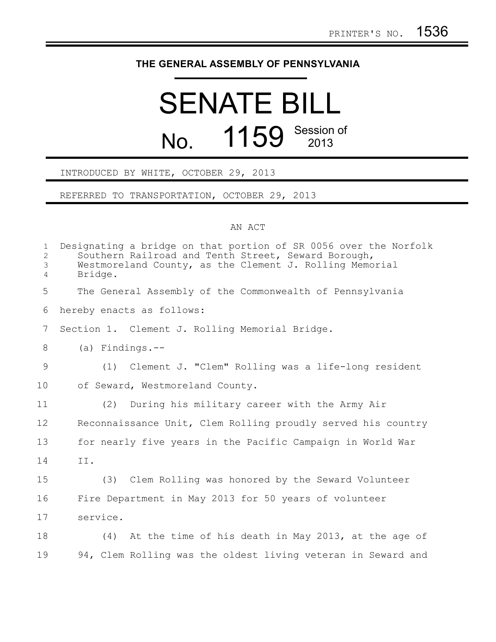## **THE GENERAL ASSEMBLY OF PENNSYLVANIA**

## SENATE BILL No. 1159 Session of

## INTRODUCED BY WHITE, OCTOBER 29, 2013

REFERRED TO TRANSPORTATION, OCTOBER 29, 2013

## AN ACT

| $\mathbf 1$<br>$\overline{2}$<br>3<br>$\overline{4}$ | Designating a bridge on that portion of SR 0056 over the Norfolk<br>Southern Railroad and Tenth Street, Seward Borough,<br>Westmoreland County, as the Clement J. Rolling Memorial<br>Bridge. |
|------------------------------------------------------|-----------------------------------------------------------------------------------------------------------------------------------------------------------------------------------------------|
| 5                                                    | The General Assembly of the Commonwealth of Pennsylvania                                                                                                                                      |
| 6                                                    | hereby enacts as follows:                                                                                                                                                                     |
| $7\phantom{.0}$                                      | Section 1. Clement J. Rolling Memorial Bridge.                                                                                                                                                |
| 8                                                    | $(a)$ Findings.--                                                                                                                                                                             |
| 9                                                    | (1) Clement J. "Clem" Rolling was a life-long resident                                                                                                                                        |
| 10                                                   | of Seward, Westmoreland County.                                                                                                                                                               |
| 11                                                   | (2) During his military career with the Army Air                                                                                                                                              |
| 12                                                   | Reconnaissance Unit, Clem Rolling proudly served his country                                                                                                                                  |
| 13                                                   | for nearly five years in the Pacific Campaign in World War                                                                                                                                    |
| 14                                                   | II.                                                                                                                                                                                           |
| 15                                                   | (3) Clem Rolling was honored by the Seward Volunteer                                                                                                                                          |
| 16                                                   | Fire Department in May 2013 for 50 years of volunteer                                                                                                                                         |
| 17                                                   | service.                                                                                                                                                                                      |
| 18                                                   | (4) At the time of his death in May 2013, at the age of                                                                                                                                       |
| 19                                                   | 94, Clem Rolling was the oldest living veteran in Seward and                                                                                                                                  |